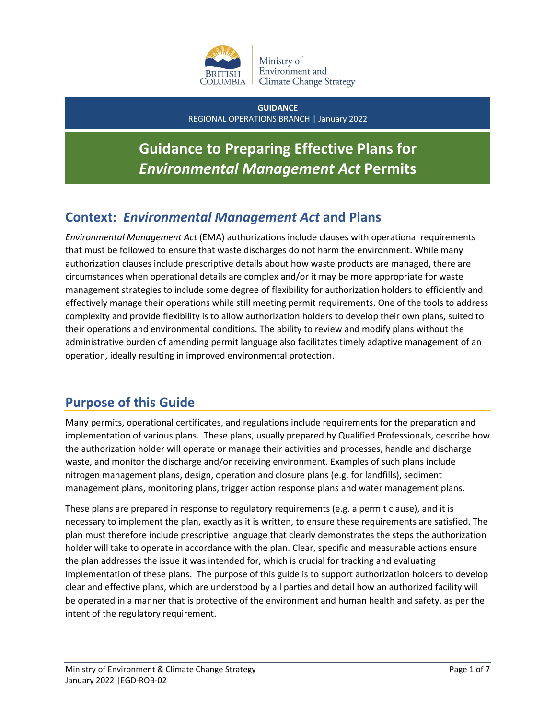

**GUIDANCE** REGIONAL OPERATIONS BRANCH | January 2022

# **Guidance to Preparing Effective Plans for**  *Environmental Management Act* **Permits**

# **Context:** *Environmental Management Act* **and Plans**

*Environmental Management Act* (EMA) authorizations include clauses with operational requirements that must be followed to ensure that waste discharges do not harm the environment. While many authorization clauses include prescriptive details about how waste products are managed, there are circumstances when operational details are complex and/or it may be more appropriate for waste management strategies to include some degree of flexibility for authorization holders to efficiently and effectively manage their operations while still meeting permit requirements. One of the tools to address complexity and provide flexibility is to allow authorization holders to develop their own plans, suited to their operations and environmental conditions. The ability to review and modify plans without the administrative burden of amending permit language also facilitates timely adaptive management of an operation, ideally resulting in improved environmental protection.

# **Purpose of this Guide**

Many permits, operational certificates, and regulations include requirements for the preparation and implementation of various plans. These plans, usually prepared by Qualified Professionals, describe how the authorization holder will operate or manage their activities and processes, handle and discharge waste, and monitor the discharge and/or receiving environment. Examples of such plans include nitrogen management plans, design, operation and closure plans (e.g. for landfills), sediment management plans, monitoring plans, trigger action response plans and water management plans.

These plans are prepared in response to regulatory requirements (e.g. a permit clause), and it is necessary to implement the plan, exactly as it is written, to ensure these requirements are satisfied. The plan must therefore include prescriptive language that clearly demonstrates the steps the authorization holder will take to operate in accordance with the plan. Clear, specific and measurable actions ensure the plan addresses the issue it was intended for, which is crucial for tracking and evaluating implementation of these plans. The purpose of this guide is to support authorization holders to develop clear and effective plans, which are understood by all parties and detail how an authorized facility will be operated in a manner that is protective of the environment and human health and safety, as per the intent of the regulatory requirement.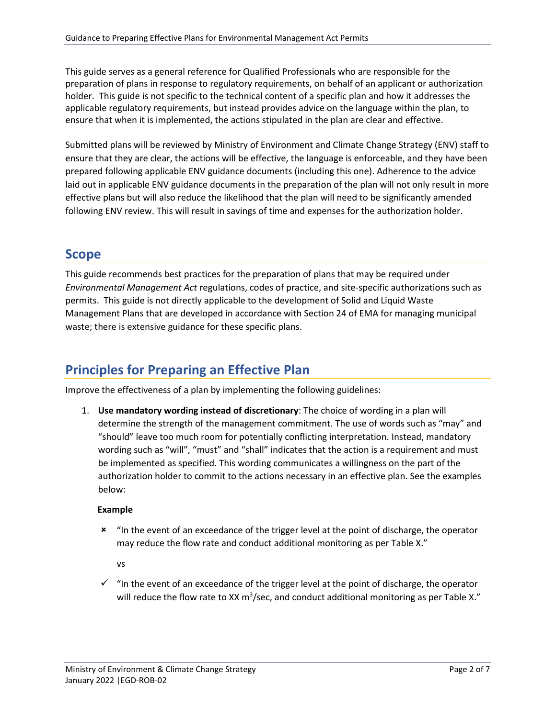This guide serves as a general reference for Qualified Professionals who are responsible for the preparation of plans in response to regulatory requirements, on behalf of an applicant or authorization holder. This guide is not specific to the technical content of a specific plan and how it addresses the applicable regulatory requirements, but instead provides advice on the language within the plan, to ensure that when it is implemented, the actions stipulated in the plan are clear and effective.

Submitted plans will be reviewed by Ministry of Environment and Climate Change Strategy (ENV) staff to ensure that they are clear, the actions will be effective, the language is enforceable, and they have been prepared following applicable ENV guidance documents (including this one). Adherence to the advice laid out in applicable ENV guidance documents in the preparation of the plan will not only result in more effective plans but will also reduce the likelihood that the plan will need to be significantly amended following ENV review. This will result in savings of time and expenses for the authorization holder.

### **Scope**

This guide recommends best practices for the preparation of plans that may be required under *Environmental Management Act* regulations, codes of practice, and site-specific authorizations such as permits. This guide is not directly applicable to the development of Solid and Liquid Waste Management Plans that are developed in accordance with Section 24 of EMA for managing municipal waste; there is extensive guidance for these specific plans.

# **Principles for Preparing an Effective Plan**

Improve the effectiveness of a plan by implementing the following guidelines:

1. **Use mandatory wording instead of discretionary**: The choice of wording in a plan will determine the strength of the management commitment. The use of words such as "may" and "should" leave too much room for potentially conflicting interpretation. Instead, mandatory wording such as "will", "must" and "shall" indicates that the action is a requirement and must be implemented as specified. This wording communicates a willingness on the part of the authorization holder to commit to the actions necessary in an effective plan. See the examples below:

#### **Example**

**\*** "In the event of an exceedance of the trigger level at the point of discharge, the operator may reduce the flow rate and conduct additional monitoring as per Table X."

vs

 $\checkmark$  "In the event of an exceedance of the trigger level at the point of discharge, the operator will reduce the flow rate to XX  $m^3$ /sec, and conduct additional monitoring as per Table X."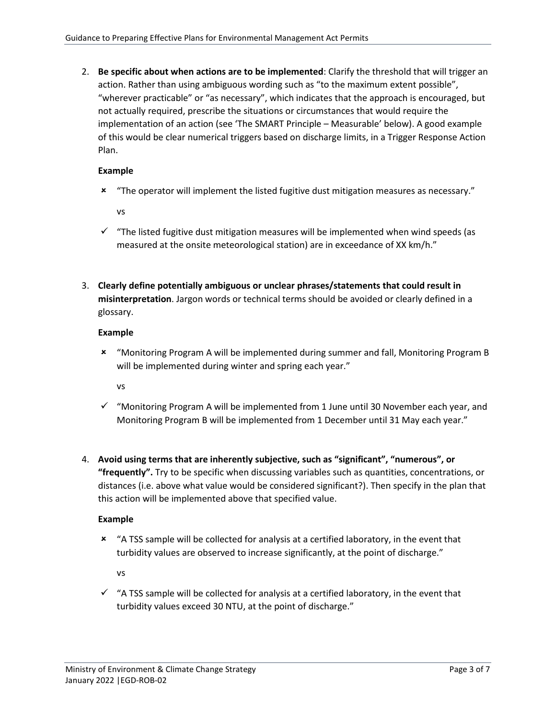2. **Be specific about when actions are to be implemented**: Clarify the threshold that will trigger an action. Rather than using ambiguous wording such as "to the maximum extent possible", "wherever practicable" or "as necessary", which indicates that the approach is encouraged, but not actually required, prescribe the situations or circumstances that would require the implementation of an action (see 'The SMART Principle – Measurable' below). A good example of this would be clear numerical triggers based on discharge limits, in a Trigger Response Action Plan.

#### **Example**

"The operator will implement the listed fugitive dust mitigation measures as necessary."

vs

- $\checkmark$  "The listed fugitive dust mitigation measures will be implemented when wind speeds (as measured at the onsite meteorological station) are in exceedance of XX km/h."
- 3. **Clearly define potentially ambiguous or unclear phrases/statements that could result in misinterpretation**. Jargon words or technical terms should be avoided or clearly defined in a glossary.

#### **Example**

 "Monitoring Program A will be implemented during summer and fall, Monitoring Program B will be implemented during winter and spring each year."

vs

- $\checkmark$  "Monitoring Program A will be implemented from 1 June until 30 November each year, and Monitoring Program B will be implemented from 1 December until 31 May each year."
- 4. **Avoid using terms that are inherently subjective, such as "significant", "numerous", or "frequently".** Try to be specific when discussing variables such as quantities, concentrations, or distances (i.e. above what value would be considered significant?). Then specify in the plan that this action will be implemented above that specified value.

#### **Example**

 "A TSS sample will be collected for analysis at a certified laboratory, in the event that turbidity values are observed to increase significantly, at the point of discharge."

vs

 $\checkmark$  "A TSS sample will be collected for analysis at a certified laboratory, in the event that turbidity values exceed 30 NTU, at the point of discharge."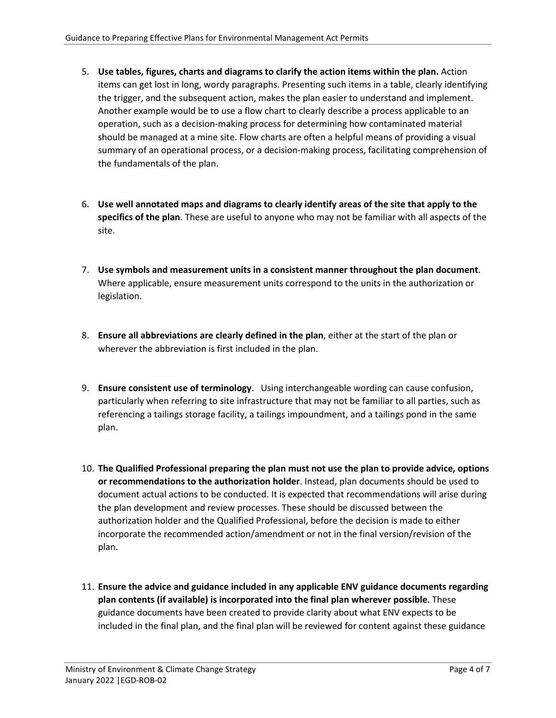- 5. **Use tables, figures, charts and diagrams to clarify the action items within the plan.** Action items can get lost in long, wordy paragraphs. Presenting such items in a table, clearly identifying the trigger, and the subsequent action, makes the plan easier to understand and implement. Another example would be to use a flow chart to clearly describe a process applicable to an operation, such as a decision-making process for determining how contaminated material should be managed at a mine site. Flow charts are often a helpful means of providing a visual summary of an operational process, or a decision-making process, facilitating comprehension of the fundamentals of the plan.
- 6. **Use well annotated maps and diagrams to clearly identify areas of the site that apply to the specifics of the plan**. These are useful to anyone who may not be familiar with all aspects of the site.
- 7. **Use symbols and measurement units in a consistent manner throughout the plan document**. Where applicable, ensure measurement units correspond to the units in the authorization or legislation.
- 8. **Ensure all abbreviations are clearly defined in the plan**, either at the start of the plan or wherever the abbreviation is first included in the plan.
- 9. **Ensure consistent use of terminology**. Using interchangeable wording can cause confusion, particularly when referring to site infrastructure that may not be familiar to all parties, such as referencing a tailings storage facility, a tailings impoundment, and a tailings pond in the same plan.
- 10. **The Qualified Professional preparing the plan must not use the plan to provide advice, options or recommendations to the authorization holder**. Instead, plan documents should be used to document actual actions to be conducted. It is expected that recommendations will arise during the plan development and review processes. These should be discussed between the authorization holder and the Qualified Professional, before the decision is made to either incorporate the recommended action/amendment or not in the final version/revision of the plan.
- 11. **Ensure the advice and guidance included in any applicable ENV guidance documents regarding plan contents (if available) is incorporated into the final plan wherever possible**. These guidance documents have been created to provide clarity about what ENV expects to be included in the final plan, and the final plan will be reviewed for content against these guidance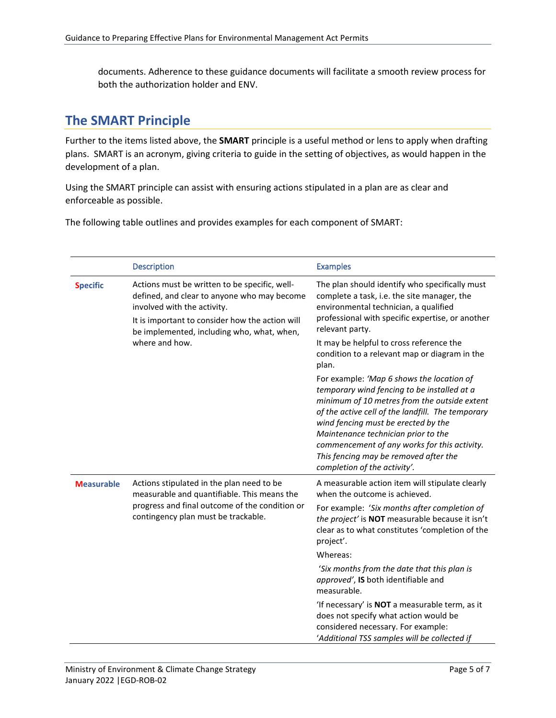documents. Adherence to these guidance documents will facilitate a smooth review process for both the authorization holder and ENV.

## **The SMART Principle**

Further to the items listed above, the **SMART** principle is a useful method or lens to apply when drafting plans. SMART is an acronym, giving criteria to guide in the setting of objectives, as would happen in the development of a plan.

Using the SMART principle can assist with ensuring actions stipulated in a plan are as clear and enforceable as possible.

The following table outlines and provides examples for each component of SMART:

|                   | <b>Description</b>                                                                                                                                                                                                                             | <b>Examples</b>                                                                                                                                                                                                                                                                                                                                                                                      |
|-------------------|------------------------------------------------------------------------------------------------------------------------------------------------------------------------------------------------------------------------------------------------|------------------------------------------------------------------------------------------------------------------------------------------------------------------------------------------------------------------------------------------------------------------------------------------------------------------------------------------------------------------------------------------------------|
| <b>Specific</b>   | Actions must be written to be specific, well-<br>defined, and clear to anyone who may become<br>involved with the activity.<br>It is important to consider how the action will<br>be implemented, including who, what, when,<br>where and how. | The plan should identify who specifically must<br>complete a task, i.e. the site manager, the<br>environmental technician, a qualified<br>professional with specific expertise, or another<br>relevant party.                                                                                                                                                                                        |
|                   |                                                                                                                                                                                                                                                | It may be helpful to cross reference the<br>condition to a relevant map or diagram in the<br>plan.                                                                                                                                                                                                                                                                                                   |
|                   |                                                                                                                                                                                                                                                | For example: 'Map 6 shows the location of<br>temporary wind fencing to be installed at a<br>minimum of 10 metres from the outside extent<br>of the active cell of the landfill. The temporary<br>wind fencing must be erected by the<br>Maintenance technician prior to the<br>commencement of any works for this activity.<br>This fencing may be removed after the<br>completion of the activity'. |
| <b>Measurable</b> | Actions stipulated in the plan need to be<br>measurable and quantifiable. This means the<br>progress and final outcome of the condition or<br>contingency plan must be trackable.                                                              | A measurable action item will stipulate clearly<br>when the outcome is achieved.                                                                                                                                                                                                                                                                                                                     |
|                   |                                                                                                                                                                                                                                                | For example: 'Six months after completion of<br>the project' is NOT measurable because it isn't<br>clear as to what constitutes 'completion of the<br>project'.                                                                                                                                                                                                                                      |
|                   |                                                                                                                                                                                                                                                | Whereas:                                                                                                                                                                                                                                                                                                                                                                                             |
|                   |                                                                                                                                                                                                                                                | 'Six months from the date that this plan is<br>approved', IS both identifiable and<br>measurable.                                                                                                                                                                                                                                                                                                    |
|                   |                                                                                                                                                                                                                                                | 'If necessary' is NOT a measurable term, as it<br>does not specify what action would be<br>considered necessary. For example:<br>'Additional TSS samples will be collected if                                                                                                                                                                                                                        |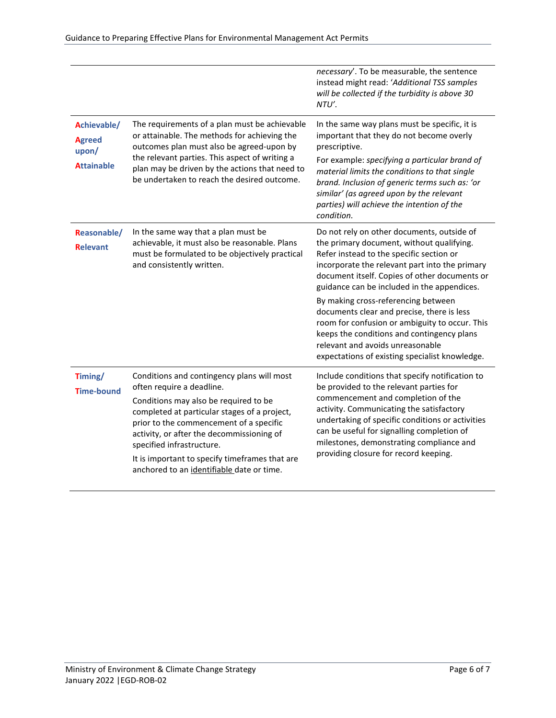|                                                            |                                                                                                                                                                                                                                                                                                                                                                                      | necessary'. To be measurable, the sentence<br>instead might read: 'Additional TSS samples<br>will be collected if the turbidity is above 30<br>NTU'.                                                                                                                                                                                                                                                                                                                                                                                                             |
|------------------------------------------------------------|--------------------------------------------------------------------------------------------------------------------------------------------------------------------------------------------------------------------------------------------------------------------------------------------------------------------------------------------------------------------------------------|------------------------------------------------------------------------------------------------------------------------------------------------------------------------------------------------------------------------------------------------------------------------------------------------------------------------------------------------------------------------------------------------------------------------------------------------------------------------------------------------------------------------------------------------------------------|
| Achievable/<br><b>Agreed</b><br>upon/<br><b>Attainable</b> | The requirements of a plan must be achievable<br>or attainable. The methods for achieving the<br>outcomes plan must also be agreed-upon by<br>the relevant parties. This aspect of writing a<br>plan may be driven by the actions that need to<br>be undertaken to reach the desired outcome.                                                                                        | In the same way plans must be specific, it is<br>important that they do not become overly<br>prescriptive.<br>For example: specifying a particular brand of<br>material limits the conditions to that single<br>brand. Inclusion of generic terms such as: 'or<br>similar' (as agreed upon by the relevant<br>parties) will achieve the intention of the<br>condition.                                                                                                                                                                                           |
| Reasonable/<br><b>Relevant</b>                             | In the same way that a plan must be<br>achievable, it must also be reasonable. Plans<br>must be formulated to be objectively practical<br>and consistently written.                                                                                                                                                                                                                  | Do not rely on other documents, outside of<br>the primary document, without qualifying.<br>Refer instead to the specific section or<br>incorporate the relevant part into the primary<br>document itself. Copies of other documents or<br>guidance can be included in the appendices.<br>By making cross-referencing between<br>documents clear and precise, there is less<br>room for confusion or ambiguity to occur. This<br>keeps the conditions and contingency plans<br>relevant and avoids unreasonable<br>expectations of existing specialist knowledge. |
| Timing/<br><b>Time-bound</b>                               | Conditions and contingency plans will most<br>often require a deadline.<br>Conditions may also be required to be<br>completed at particular stages of a project,<br>prior to the commencement of a specific<br>activity, or after the decommissioning of<br>specified infrastructure.<br>It is important to specify timeframes that are<br>anchored to an identifiable date or time. | Include conditions that specify notification to<br>be provided to the relevant parties for<br>commencement and completion of the<br>activity. Communicating the satisfactory<br>undertaking of specific conditions or activities<br>can be useful for signalling completion of<br>milestones, demonstrating compliance and<br>providing closure for record keeping.                                                                                                                                                                                              |